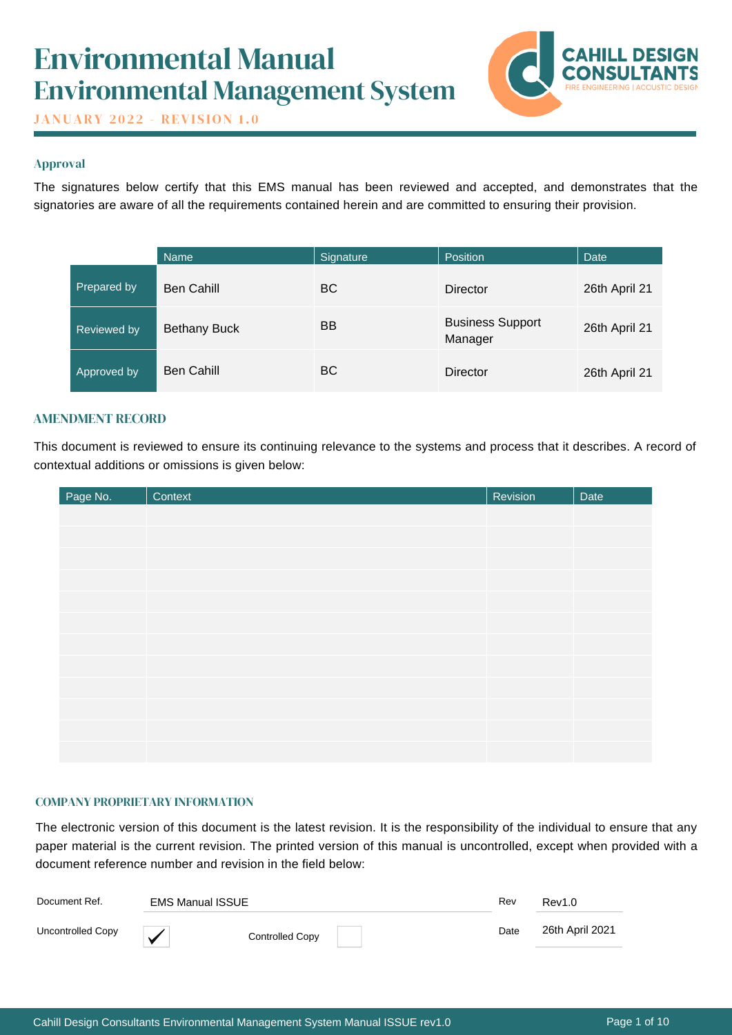# Environmental Manual Environmental Management System



**JANUARY 2022 - REVISION 1.0** 

# Approval

The signatures below certify that this EMS manual has been reviewed and accepted, and demonstrates that the signatories are aware of all the requirements contained herein and are committed to ensuring their provision.

|                    | <b>Name</b>         | Signature | <b>Position</b>                    | Date          |
|--------------------|---------------------|-----------|------------------------------------|---------------|
| Prepared by        | <b>Ben Cahill</b>   | <b>BC</b> | <b>Director</b>                    | 26th April 21 |
| Reviewed by        | <b>Bethany Buck</b> | <b>BB</b> | <b>Business Support</b><br>Manager | 26th April 21 |
| <b>Approved by</b> | <b>Ben Cahill</b>   | <b>BC</b> | <b>Director</b>                    | 26th April 21 |

# AMENDMENT RECORD

This document is reviewed to ensure its continuing relevance to the systems and process that it describes. A record of contextual additions or omissions is given below:

| Page No. | Context | Revision | Date |
|----------|---------|----------|------|
|          |         |          |      |
|          |         |          |      |
|          |         |          |      |
|          |         |          |      |
|          |         |          |      |
|          |         |          |      |
|          |         |          |      |
|          |         |          |      |
|          |         |          |      |
|          |         |          |      |
|          |         |          |      |
|          |         |          |      |

# COMPANY PROPRIETARY INFORMATION

The electronic version of this document is the latest revision. It is the responsibility of the individual to ensure that any paper material is the current revision. The printed version of this manual is uncontrolled, except when provided with a document reference number and revision in the field below:

| Document Ref.     | EMS Manual ISSUE |                        | Rev  | Rev1.0          |
|-------------------|------------------|------------------------|------|-----------------|
| Uncontrolled Copy | ◡                | <b>Controlled Copy</b> | Date | 26th April 2021 |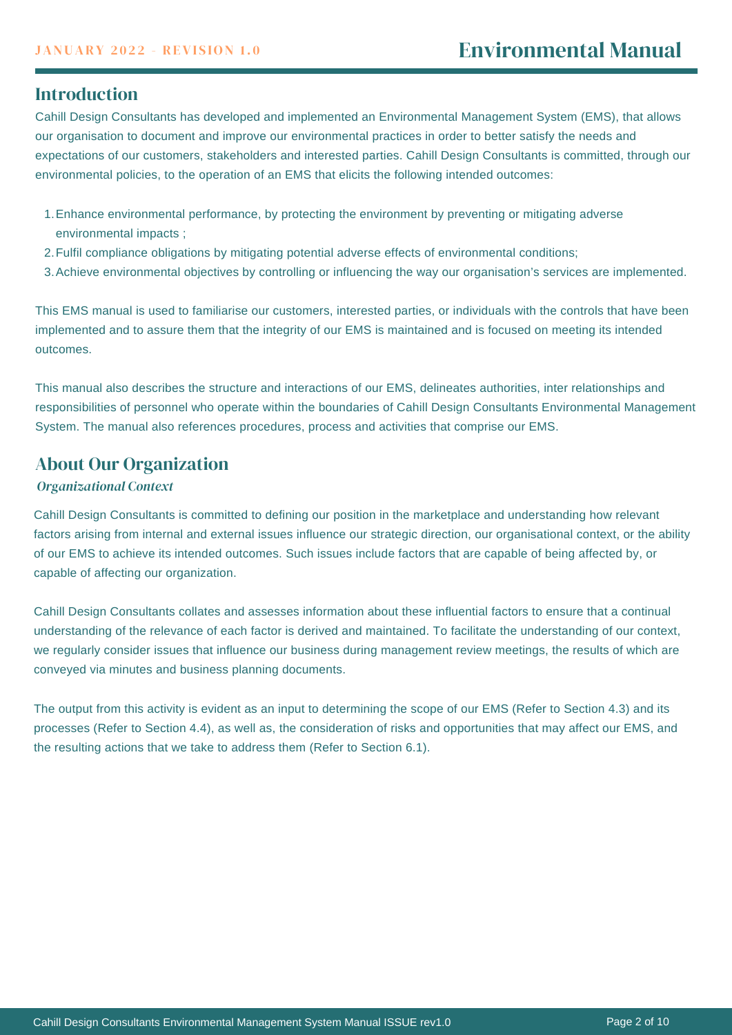# **Introduction**

Cahill Design Consultants has developed and implemented an Environmental Management System (EMS), that allows our organisation to document and improve our environmental practices in order to better satisfy the needs and expectations of our customers, stakeholders and interested parties. Cahill Design Consultants is committed, through our environmental policies, to the operation of an EMS that elicits the following intended outcomes:

- Enhance environmental performance, by protecting the environment by preventing or mitigating adverse 1. environmental impacts ;
- Fulfil compliance obligations by mitigating potential adverse effects of environmental conditions; 2.
- Achieve environmental objectives by controlling or influencing the way our organisation's services are implemented. 3.

This EMS manual is used to familiarise our customers, interested parties, or individuals with the controls that have been implemented and to assure them that the integrity of our EMS is maintained and is focused on meeting its intended outcomes.

This manual also describes the structure and interactions of our EMS, delineates authorities, inter relationships and responsibilities of personnel who operate within the boundaries of Cahill Design Consultants Environmental Management System. The manual also references procedures, process and activities that comprise our EMS.

# About Our Organization

# *Organizational Context*

Cahill Design Consultants is committed to defining our position in the marketplace and understanding how relevant factors arising from internal and external issues influence our strategic direction, our organisational context, or the ability of our EMS to achieve its intended outcomes. Such issues include factors that are capable of being affected by, or capable of affecting our organization.

Cahill Design Consultants collates and assesses information about these influential factors to ensure that a continual understanding of the relevance of each factor is derived and maintained. To facilitate the understanding of our context, we regularly consider issues that influence our business during management review meetings, the results of which are conveyed via minutes and business planning documents.

The output from this activity is evident as an input to determining the scope of our EMS (Refer to Section 4.3) and its processes (Refer to Section 4.4), as well as, the consideration of risks and opportunities that may affect our EMS, and the resulting actions that we take to address them (Refer to Section 6.1).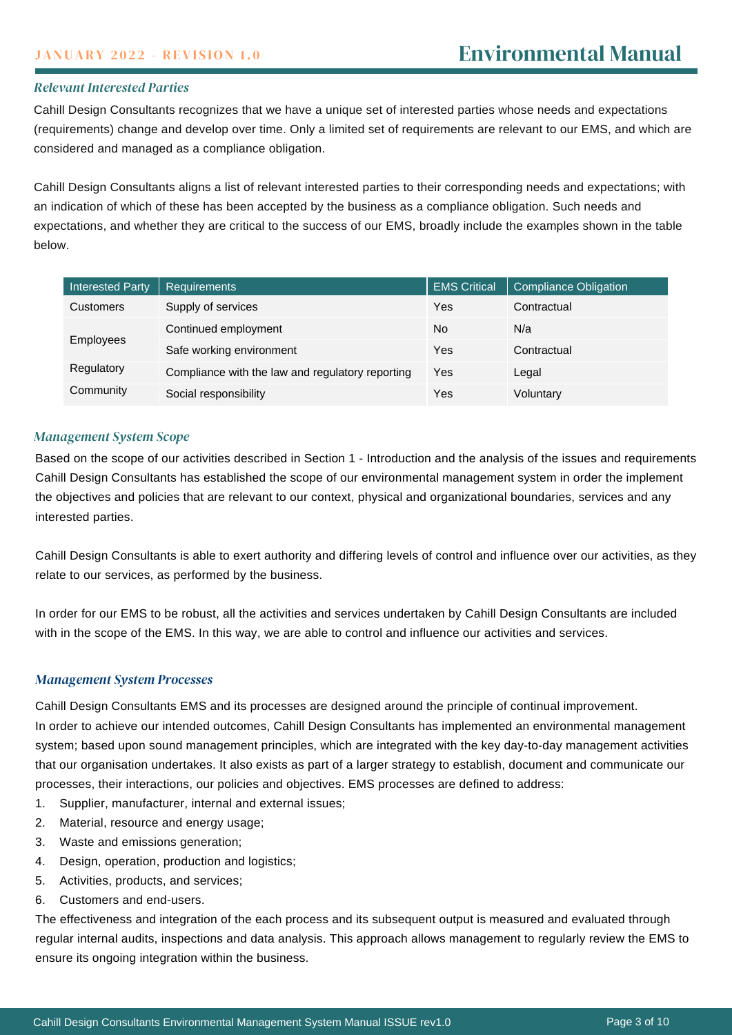## *Relevant Interested Parties*

Cahill Design Consultants recognizes that we have a unique set of interested parties whose needs and expectations (requirements) change and develop over time. Only a limited set of requirements are relevant to our EMS, and which are considered and managed as a compliance obligation.

Cahill Design Consultants aligns a list of relevant interested parties to their corresponding needs and expectations; with an indication of which of these has been accepted by the business as a compliance obligation. Such needs and expectations, and whether they are critical to the success of our EMS, broadly include the examples shown in the table below.

| <b>Interested Party</b> | <b>Requirements</b>                              | <b>EMS Critical</b> | <b>Compliance Obligation</b> |
|-------------------------|--------------------------------------------------|---------------------|------------------------------|
| <b>Customers</b>        | Supply of services                               | Yes                 | Contractual                  |
| Employees               | Continued employment                             | No                  | N/a                          |
|                         | Safe working environment                         | Yes                 | Contractual                  |
| Regulatory              | Compliance with the law and regulatory reporting | Yes                 | Legal                        |
| Community               | Social responsibility                            | Yes                 | Voluntary                    |

### *Management System Scope*

Based on the scope of our activities described in Section 1 - Introduction and the analysis of the issues and requirements Cahill Design Consultants has established the scope of our environmental management system in order the implement the objectives and policies that are relevant to our context, physical and organizational boundaries, services and any interested parties.

Cahill Design Consultants is able to exert authority and differing levels of control and influence over our activities, as they relate to our services, as performed by the business.

In order for our EMS to be robust, all the activities and services undertaken by Cahill Design Consultants are included with in the scope of the EMS. In this way, we are able to control and influence our activities and services.

#### *Management System Processes*

Cahill Design Consultants EMS and its processes are designed around the principle of continual improvement.

In order to achieve our intended outcomes, Cahill Design Consultants has implemented an environmental management system; based upon sound management principles, which are integrated with the key day-to-day management activities that our organisation undertakes. It also exists as part of a larger strategy to establish, document and communicate our processes, their interactions, our policies and objectives. EMS processes are defined to address:

- 1. Supplier, manufacturer, internal and external issues;
- 2. Material, resource and energy usage;
- 3. Waste and emissions generation;
- 4. Design, operation, production and logistics;
- 5. Activities, products, and services;
- 6. Customers and end-users.

The effectiveness and integration of the each process and its subsequent output is measured and evaluated through regular internal audits, inspections and data analysis. This approach allows management to regularly review the EMS to ensure its ongoing integration within the business.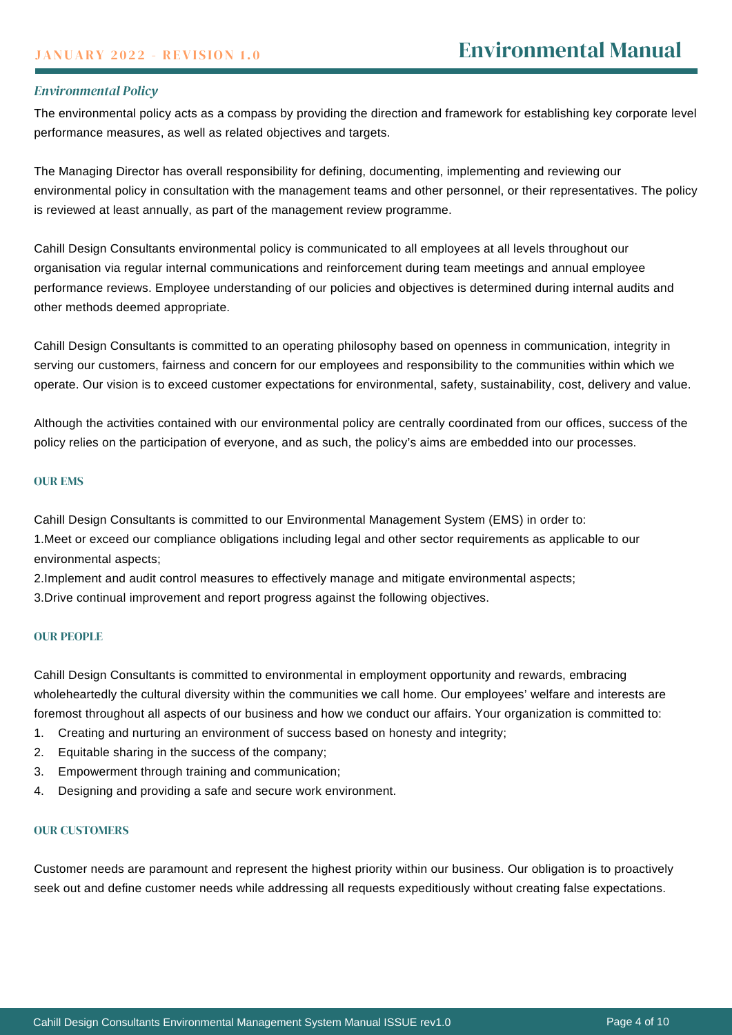## *Environmental Policy*

The environmental policy acts as a compass by providing the direction and framework for establishing key corporate level performance measures, as well as related objectives and targets.

The Managing Director has overall responsibility for defining, documenting, implementing and reviewing our environmental policy in consultation with the management teams and other personnel, or their representatives. The policy is reviewed at least annually, as part of the management review programme.

Cahill Design Consultants environmental policy is communicated to all employees at all levels throughout our organisation via regular internal communications and reinforcement during team meetings and annual employee performance reviews. Employee understanding of our policies and objectives is determined during internal audits and other methods deemed appropriate.

Cahill Design Consultants is committed to an operating philosophy based on openness in communication, integrity in serving our customers, fairness and concern for our employees and responsibility to the communities within which we operate. Our vision is to exceed customer expectations for environmental, safety, sustainability, cost, delivery and value.

Although the activities contained with our environmental policy are centrally coordinated from our offices, success of the policy relies on the participation of everyone, and as such, the policy's aims are embedded into our processes.

#### OUR EMS

Cahill Design Consultants is committed to our Environmental Management System (EMS) in order to:

1.Meet or exceed our compliance obligations including legal and other sector requirements as applicable to our environmental aspects;

2.Implement and audit control measures to effectively manage and mitigate environmental aspects;

3.Drive continual improvement and report progress against the following objectives.

#### OUR PEOPLE

Cahill Design Consultants is committed to environmental in employment opportunity and rewards, embracing wholeheartedly the cultural diversity within the communities we call home. Our employees' welfare and interests are foremost throughout all aspects of our business and how we conduct our affairs. Your organization is committed to:

- 1. Creating and nurturing an environment of success based on honesty and integrity;
- 2. Equitable sharing in the success of the company;
- 3. Empowerment through training and communication;
- 4. Designing and providing a safe and secure work environment.

# OUR CUSTOMERS

Customer needs are paramount and represent the highest priority within our business. Our obligation is to proactively seek out and define customer needs while addressing all requests expeditiously without creating false expectations.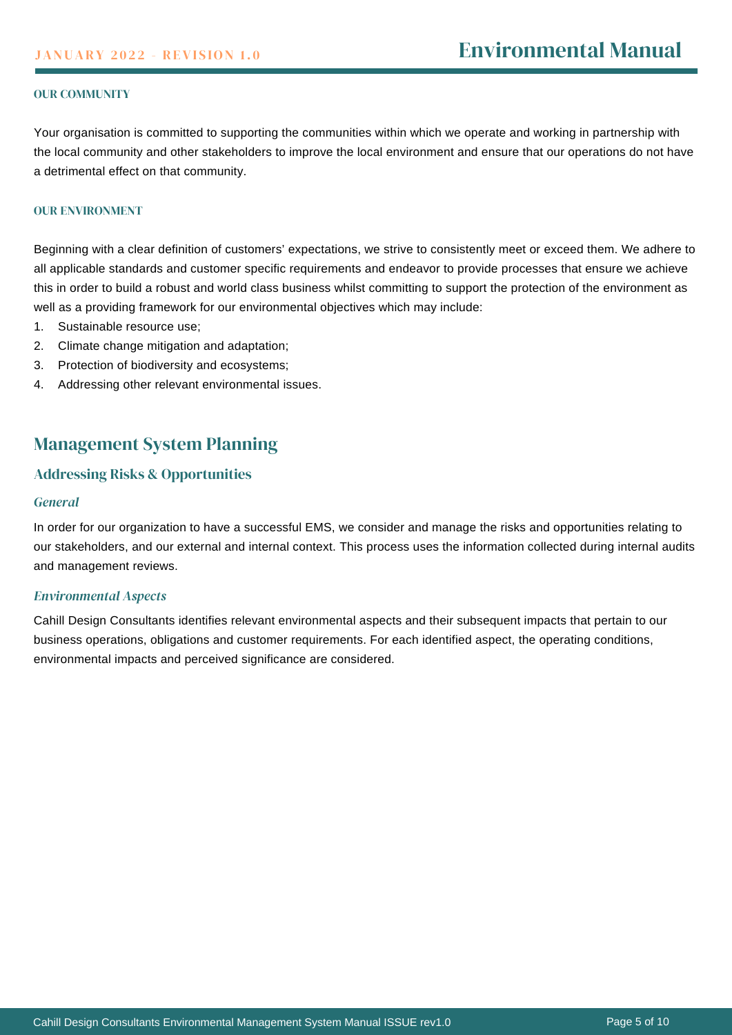#### OUR COMMUNITY

Your organisation is committed to supporting the communities within which we operate and working in partnership with the local community and other stakeholders to improve the local environment and ensure that our operations do not have a detrimental effect on that community.

#### OUR ENVIRONMENT

Beginning with a clear definition of customers' expectations, we strive to consistently meet or exceed them. We adhere to all applicable standards and customer specific requirements and endeavor to provide processes that ensure we achieve this in order to build a robust and world class business whilst committing to support the protection of the environment as well as a providing framework for our environmental objectives which may include:

- 1. Sustainable resource use;
- 2. Climate change mitigation and adaptation;
- 3. Protection of biodiversity and ecosystems;
- 4. Addressing other relevant environmental issues.

# Management System Planning

# Addressing Risks & Opportunities

#### *General*

In order for our organization to have a successful EMS, we consider and manage the risks and opportunities relating to our stakeholders, and our external and internal context. This process uses the information collected during internal audits and management reviews.

#### *Environmental Aspects*

Cahill Design Consultants identifies relevant environmental aspects and their subsequent impacts that pertain to our business operations, obligations and customer requirements. For each identified aspect, the operating conditions, environmental impacts and perceived significance are considered.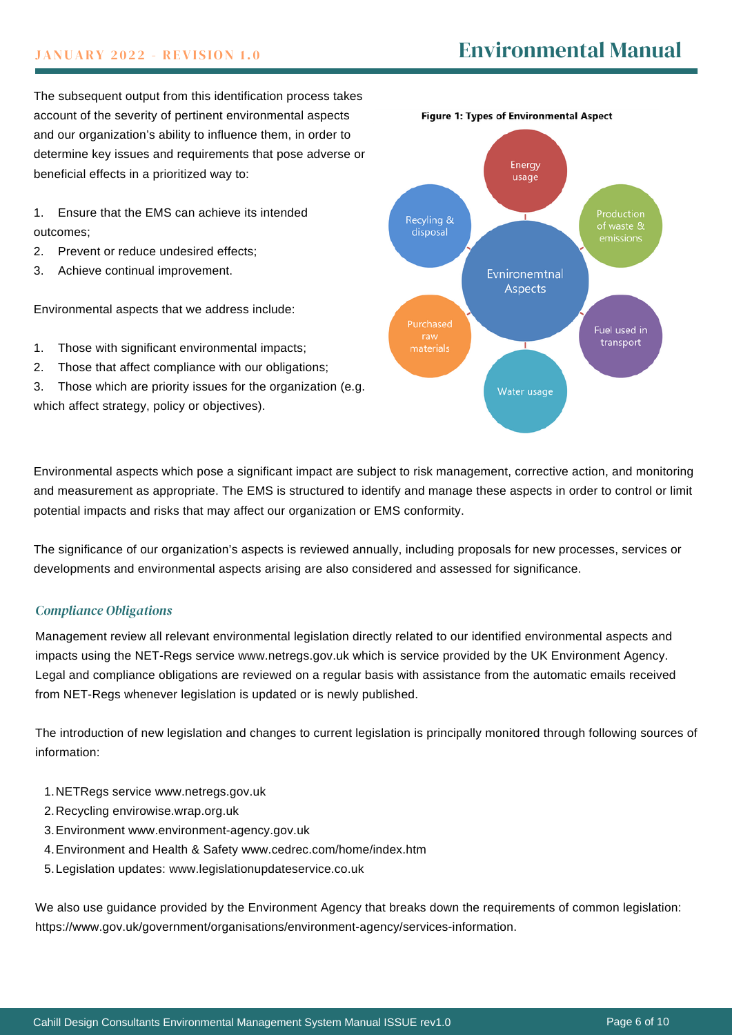# **JANUARY 2022 - REVISION 1.0**

The subsequent output from this identification process takes account of the severity of pertinent environmental aspects and our organization's ability to influence them, in order to determine key issues and requirements that pose adverse or beneficial effects in a prioritized way to:

1. Ensure that the EMS can achieve its intended outcomes;

- 2. Prevent or reduce undesired effects;
- 3. Achieve continual improvement.

Environmental aspects that we address include:

- 1. Those with significant environmental impacts;
- 2. Those that affect compliance with our obligations;
- 3. Those which are priority issues for the organization (e.g.

which affect strategy, policy or objectives).



Environmental aspects which pose a significant impact are subject to risk management, corrective action, and monitoring and measurement as appropriate. The EMS is structured to identify and manage these aspects in order to control or limit potential impacts and risks that may affect our organization or EMS conformity.

The significance of our organization's aspects is reviewed annually, including proposals for new processes, services or developments and environmental aspects arising are also considered and assessed for significance.

# *Compliance Obligations*

Management review all relevant environmental legislation directly related to our identified environmental aspects and impacts using the NET-Regs service [www.netregs.gov.uk](http://www.netregs.gov.uk/) which is service provided by the UK Environment Agency. Legal and compliance obligations are reviewed on a regular basis with assistance from the automatic emails received from NET-Regs whenever legislation is updated or is newly published.

The introduction of new legislation and changes to current legislation is principally monitored through following sources of information:

- NETRegs service [www.netregs.gov.uk](http://www.netregs.gov.uk/) 1.
- 2. Recycling [envirowise.wrap.org.uk](http://envirowise.wrap.org.uk/)
- Environment [www.environment-agency.gov.uk](http://www.environment-agency.gov.uk/) 3.
- Environment and Health & Safety [www.cedrec.com/home/index.htm](http://www.cedrec.com/home/index.htm) 4.
- Legislation updates: [www.legislationupdateservice.co.uk](http://www.legislationupdateservice.co.uk/) 5.

We also use guidance provided by the Environment Agency that breaks down the requirements of common legislation: [https://www.gov.uk/government/organisations/environment-agency/services-information.](https://www.gov.uk/government/organisations/environment-agency/services-information)

Figure 1: Types of Environmental Aspect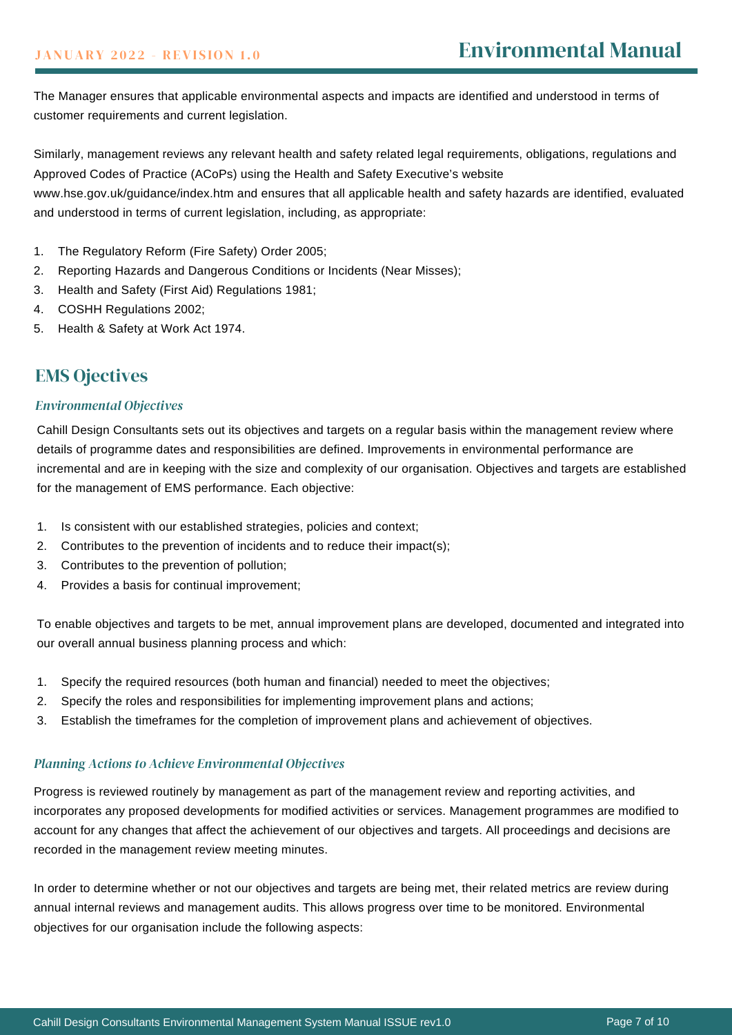The Manager ensures that applicable environmental aspects and impacts are identified and understood in terms of customer requirements and current legislation.

Similarly, management reviews any relevant health and safety related legal requirements, obligations, regulations and Approved Codes of Practice (ACoPs) using the Health and Safety Executive's website

[www.hse.gov.uk/guidance/index.htm](http://www.hse.gov.uk/guidance/index.htm) and ensures that all applicable health and safety hazards are identified, evaluated and understood in terms of current legislation, including, as appropriate:

- 1. The Regulatory Reform (Fire Safety) Order 2005;
- 2. Reporting Hazards and Dangerous Conditions or Incidents (Near Misses);
- 3. Health and Safety (First Aid) Regulations 1981;
- 4. COSHH Regulations 2002;
- 5. Health & Safety at Work Act 1974.

# EMS Ojectives

### *Environmental Objectives*

Cahill Design Consultants sets out its objectives and targets on a regular basis within the management review where details of programme dates and responsibilities are defined. Improvements in environmental performance are incremental and are in keeping with the size and complexity of our organisation. Objectives and targets are established for the management of EMS performance. Each objective:

- 1. Is consistent with our established strategies, policies and context;
- 2. Contributes to the prevention of incidents and to reduce their impact(s);
- 3. Contributes to the prevention of pollution;
- 4. Provides a basis for continual improvement;

To enable objectives and targets to be met, annual improvement plans are developed, documented and integrated into our overall annual business planning process and which:

- 1. Specify the required resources (both human and financial) needed to meet the objectives;
- 2. Specify the roles and responsibilities for implementing improvement plans and actions;
- 3. Establish the timeframes for the completion of improvement plans and achievement of objectives.

### *Planning Actions to Achieve Environmental Objectives*

Progress is reviewed routinely by management as part of the management review and reporting activities, and incorporates any proposed developments for modified activities or services. Management programmes are modified to account for any changes that affect the achievement of our objectives and targets. All proceedings and decisions are recorded in the management review meeting minutes.

In order to determine whether or not our objectives and targets are being met, their related metrics are review during annual internal reviews and management audits. This allows progress over time to be monitored. Environmental objectives for our organisation include the following aspects: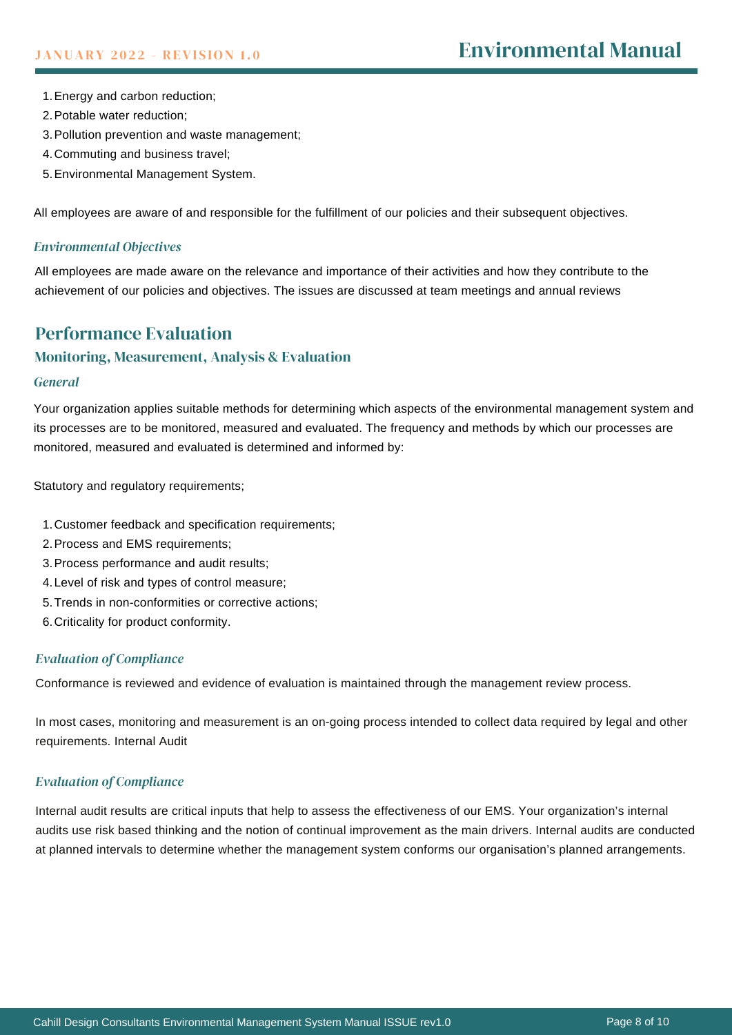- Energy and carbon reduction; 1.
- 2. Potable water reduction;
- 3. Pollution prevention and waste management;
- Commuting and business travel; 4.
- Environmental Management System. 5.

All employees are aware of and responsible for the fulfillment of our policies and their subsequent objectives.

### *Environmental Objectives*

All employees are made aware on the relevance and importance of their activities and how they contribute to the achievement of our policies and objectives. The issues are discussed at team meetings and annual reviews

# Performance Evaluation

# Monitoring, Measurement, Analysis & Evaluation

#### *General*

Your organization applies suitable methods for determining which aspects of the environmental management system and its processes are to be monitored, measured and evaluated. The frequency and methods by which our processes are monitored, measured and evaluated is determined and informed by:

Statutory and regulatory requirements;

- 1. Customer feedback and specification requirements;
- 2. Process and EMS requirements;
- 3. Process performance and audit results;
- Level of risk and types of control measure; 4.
- 5. Trends in non-conformities or corrective actions;
- 6. Criticality for product conformity.

# *Evaluation of Compliance*

Conformance is reviewed and evidence of evaluation is maintained through the management review process.

In most cases, monitoring and measurement is an on-going process intended to collect data required by legal and other requirements. Internal Audit

# *Evaluation of Compliance*

Internal audit results are critical inputs that help to assess the effectiveness of our EMS. Your organization's internal audits use risk based thinking and the notion of continual improvement as the main drivers. Internal audits are conducted at planned intervals to determine whether the management system conforms our organisation's planned arrangements.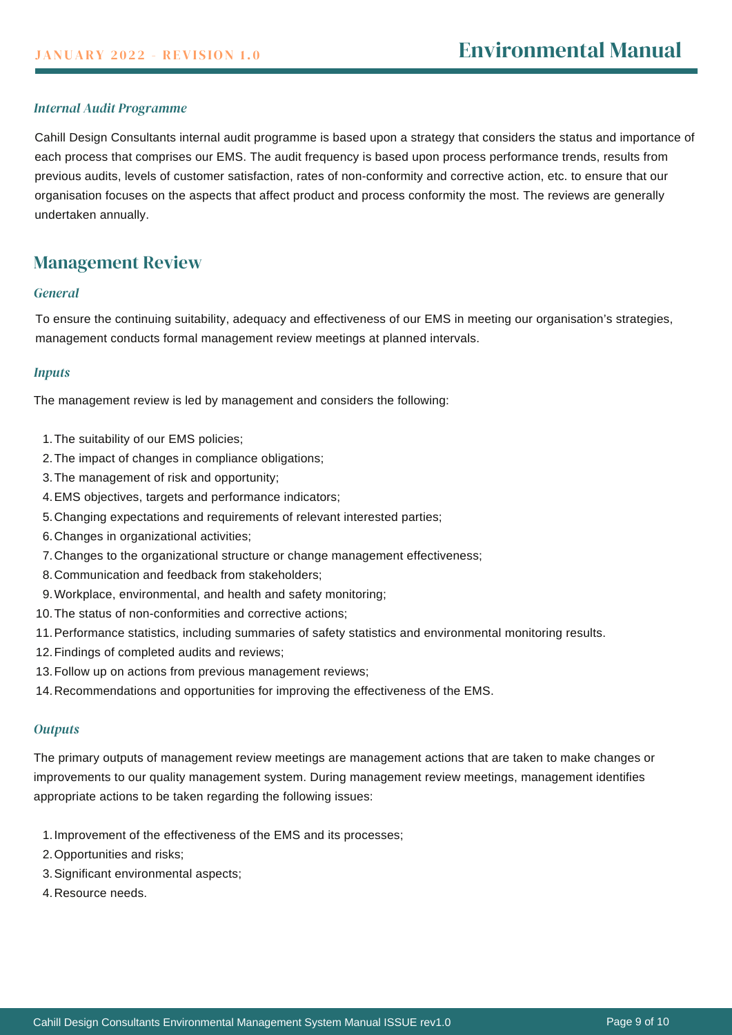# *Internal Audit Programme*

Cahill Design Consultants internal audit programme is based upon a strategy that considers the status and importance of each process that comprises our EMS. The audit frequency is based upon process performance trends, results from previous audits, levels of customer satisfaction, rates of non-conformity and corrective action, etc. to ensure that our organisation focuses on the aspects that affect product and process conformity the most. The reviews are generally undertaken annually.

# Management Review

#### *General*

To ensure the continuing suitability, adequacy and effectiveness of our EMS in meeting our organisation's strategies, management conducts formal management review meetings at planned intervals.

#### *Inputs*

The management review is led by management and considers the following:

- 1. The suitability of our EMS policies;
- 2. The impact of changes in compliance obligations;
- 3. The management of risk and opportunity;
- EMS objectives, targets and performance indicators; 4.
- 5. Changing expectations and requirements of relevant interested parties;
- Changes in organizational activities; 6.
- Changes to the organizational structure or change management effectiveness; 7.
- 8. Communication and feedback from stakeholders;
- Workplace, environmental, and health and safety monitoring; 9.
- 10. The status of non-conformities and corrective actions;
- 11. Performance statistics, including summaries of safety statistics and environmental monitoring results.
- 12. Findings of completed audits and reviews;
- 13. Follow up on actions from previous management reviews;
- 14. Recommendations and opportunities for improving the effectiveness of the EMS.

#### *Outputs*

The primary outputs of management review meetings are management actions that are taken to make changes or improvements to our quality management system. During management review meetings, management identifies appropriate actions to be taken regarding the following issues:

- 1. Improvement of the effectiveness of the EMS and its processes;
- 2. Opportunities and risks;
- Significant environmental aspects; 3.
- 4. Resource needs.